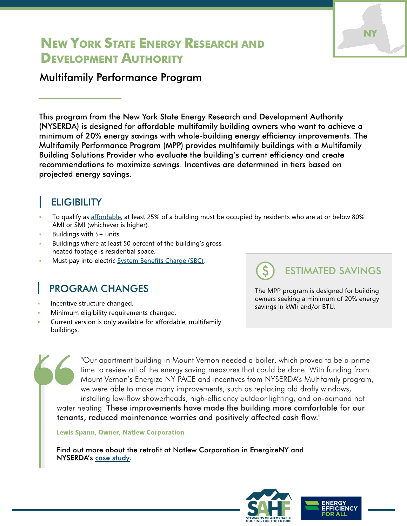# NEW YORK STATE ENERGY RESEARCH AND DEVELOPMENT AUTHORITY

#### Multifamily Performance Program

This program from the New York State Energy Research and Development Authority (NYSERDA) is designed for affordable multifamily building owners who want to achieve a minimum of 20% energy savings with whole-building energy efficiency improvements. The Multifamily Performance Program (MPP) provides multifamily buildings with a Multifamily Building Solutions Provider who evaluate the building?s current efficiency and create recommendations to maximize savings. Incentives are determined in tiers based on projected energy savings.

### **ELIGIBILITY**

- To qualify as [affordable](https://www.nyserda.ny.gov/All-Programs/Programs/MPP-Existing-Buildings#AffordableBuildings), at least 25% of a building must be occupied by residents who are at or below 80% AMI or SMI (whichever is higher).
- Buildings with 5+ units.
- Buildings where at least 50 percent of the building's gross heated footage is residential space.
- Must pay into electric [System](https://www.nyserda.ny.gov/All-Programs/Programs/MPP-Existing-Buildings#SBC) [Benefits](https://www.nyserda.ny.gov/All-Programs/Programs/MPP-Existing-Buildings#SBC) [Charge](https://www.nyserda.ny.gov/All-Programs/Programs/MPP-Existing-Buildings#SBC) [\(SBC\).](https://www.nyserda.ny.gov/All-Programs/Programs/MPP-Existing-Buildings#SBC)

# PROGRAM CHANGES

- Incentive structure changed.
- Minimum eligibility requirements changed.
- Current version is only available for affordable, multifamily buildings.

The MPP program is designed for building owners seeking a minimum of 20% energy savings in kWh and/or BTU.

ESTIMATED SAVINGS

**NY** 

"Our apartment building in Mount Vernon needed a boiler, which proved to be a prime time to review all of the energy saving measures that could be done. With funding from Mount Vernon's Energize NY PACE and incentives from NYSERDA's Multifamily program, we were able to make many improvements, such as replacing old drafty windows, installing low-flow showerheads, high-efficiency outdoor lighting, and on-demand hot

water heating. These improvements have made the building more comfortable for our tenants, reduced maintenance worries and positively affected cash flow."

Lewis Spann, Owner, Natlew Corporation

Find out more about the retrofit at Natlew Corporation in EnergizeNY and NYSERDA's [case](http://commercial.energizeny.org/project_profiles/detail/multifamily-efficiency-savings-for-natlew-corporation) [study.](http://commercial.energizeny.org/project_profiles/detail/multifamily-efficiency-savings-for-natlew-corporation)